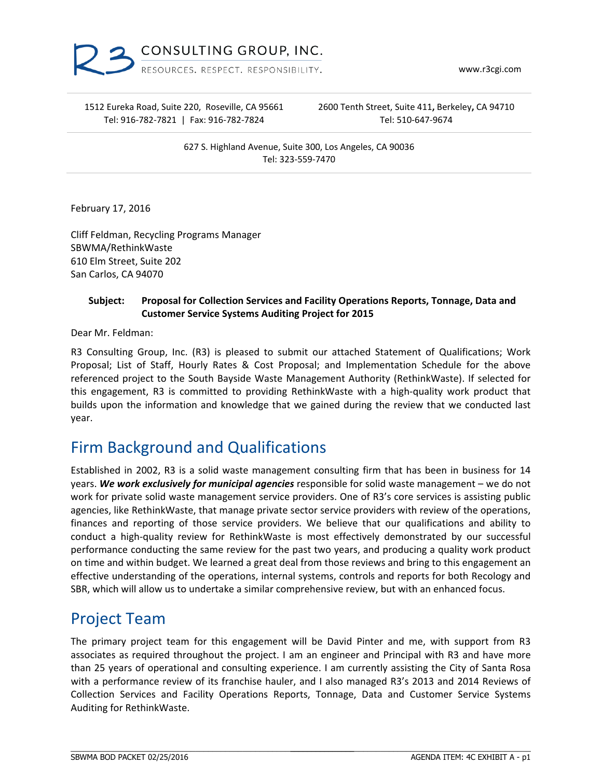

www.r3cgi.com

1512 Eureka Road, Suite 220, Roseville, CA 95661 Tel: 916‐782‐7821 | Fax: 916‐782‐7824

2600 Tenth Street, Suite 411**,** Berkeley**,** CA 94710 Tel: 510‐647‐9674

627 S. Highland Avenue, Suite 300, Los Angeles, CA 90036 Tel: 323‐559‐7470

February 17, 2016

Cliff Feldman, Recycling Programs Manager SBWMA/RethinkWaste 610 Elm Street, Suite 202 San Carlos, CA 94070

#### **Subject: Proposal for Collection Services and Facility Operations Reports, Tonnage, Data and Customer Service Systems Auditing Project for 2015**

Dear Mr. Feldman:

R3 Consulting Group, Inc. (R3) is pleased to submit our attached Statement of Qualifications; Work Proposal; List of Staff, Hourly Rates & Cost Proposal; and Implementation Schedule for the above referenced project to the South Bayside Waste Management Authority (RethinkWaste). If selected for this engagement, R3 is committed to providing RethinkWaste with a high‐quality work product that builds upon the information and knowledge that we gained during the review that we conducted last year.

## Firm Background and Qualifications

 $\_$  , and the set of the set of the set of the set of the set of the set of the set of the set of the set of the set of the set of the set of the set of the set of the set of the set of the set of the set of the set of th

Established in 2002, R3 is a solid waste management consulting firm that has been in business for 14 years. *We work exclusively for municipal agencies* responsible for solid waste management – we do not work for private solid waste management service providers. One of R3's core services is assisting public agencies, like RethinkWaste, that manage private sector service providers with review of the operations, finances and reporting of those service providers. We believe that our qualifications and ability to conduct a high‐quality review for RethinkWaste is most effectively demonstrated by our successful performance conducting the same review for the past two years, and producing a quality work product on time and within budget. We learned a great deal from those reviews and bring to this engagement an effective understanding of the operations, internal systems, controls and reports for both Recology and SBR, which will allow us to undertake a similar comprehensive review, but with an enhanced focus.

# Project Team

The primary project team for this engagement will be David Pinter and me, with support from R3 associates as required throughout the project. I am an engineer and Principal with R3 and have more than 25 years of operational and consulting experience. I am currently assisting the City of Santa Rosa with a performance review of its franchise hauler, and I also managed R3's 2013 and 2014 Reviews of Collection Services and Facility Operations Reports, Tonnage, Data and Customer Service Systems Auditing for RethinkWaste.

\_\_\_\_\_\_\_\_\_\_\_\_\_\_\_\_\_\_\_\_\_\_\_\_\_\_\_\_\_\_\_\_\_\_\_\_\_\_\_\_\_\_\_\_\_\_\_\_\_\_\_\_\_\_\_\_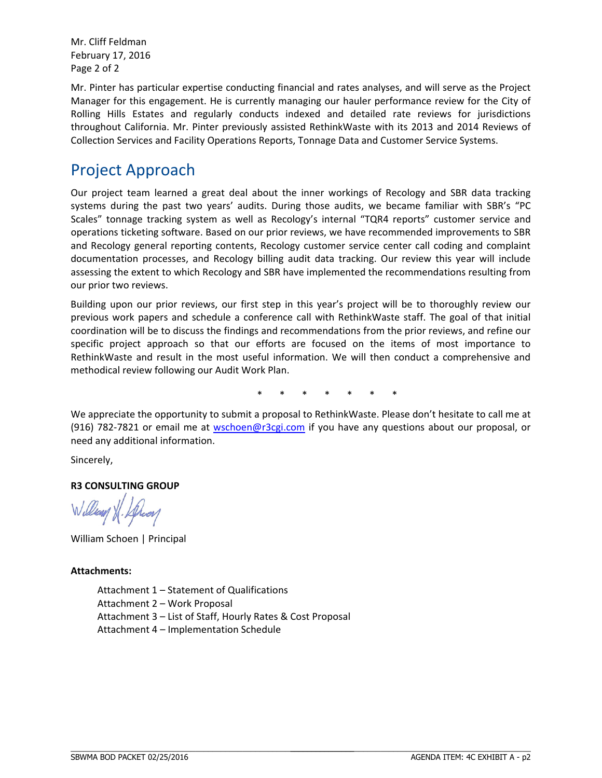Mr. Cliff Feldman February 17, 2016 Page 2 of 2

Mr. Pinter has particular expertise conducting financial and rates analyses, and will serve as the Project Manager for this engagement. He is currently managing our hauler performance review for the City of Rolling Hills Estates and regularly conducts indexed and detailed rate reviews for jurisdictions throughout California. Mr. Pinter previously assisted RethinkWaste with its 2013 and 2014 Reviews of Collection Services and Facility Operations Reports, Tonnage Data and Customer Service Systems.

## Project Approach

Our project team learned a great deal about the inner workings of Recology and SBR data tracking systems during the past two years' audits. During those audits, we became familiar with SBR's "PC Scales" tonnage tracking system as well as Recology's internal "TQR4 reports" customer service and operations ticketing software. Based on our prior reviews, we have recommended improvements to SBR and Recology general reporting contents, Recology customer service center call coding and complaint documentation processes, and Recology billing audit data tracking. Our review this year will include assessing the extent to which Recology and SBR have implemented the recommendations resulting from our prior two reviews.

Building upon our prior reviews, our first step in this year's project will be to thoroughly review our previous work papers and schedule a conference call with RethinkWaste staff. The goal of that initial coordination will be to discuss the findings and recommendations from the prior reviews, and refine our specific project approach so that our efforts are focused on the items of most importance to RethinkWaste and result in the most useful information. We will then conduct a comprehensive and methodical review following our Audit Work Plan.

\* \* \* \* \* \* \*

We appreciate the opportunity to submit a proposal to RethinkWaste. Please don't hesitate to call me at (916) 782‐7821 or email me at wschoen@r3cgi.com if you have any questions about our proposal, or need any additional information.

Sincerely,

#### **R3 CONSULTING GROUP**

llen XX.

William Schoen | Principal

#### **Attachments:**

Attachment 1 – Statement of Qualifications Attachment 2 – Work Proposal Attachment 3 – List of Staff, Hourly Rates & Cost Proposal Attachment 4 – Implementation Schedule

\_\_\_\_\_\_\_\_\_\_\_\_\_\_\_\_\_\_\_\_\_\_\_\_\_\_\_\_\_\_\_\_\_\_\_\_\_\_\_\_\_\_\_\_\_\_\_\_\_\_\_\_\_\_\_\_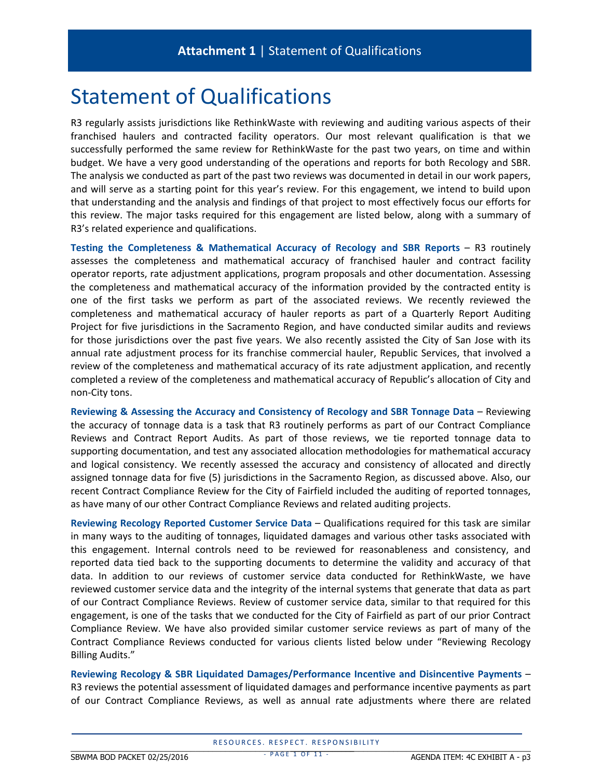# Statement of Qualifications

R3 regularly assists jurisdictions like RethinkWaste with reviewing and auditing various aspects of their franchised haulers and contracted facility operators. Our most relevant qualification is that we successfully performed the same review for RethinkWaste for the past two years, on time and within budget. We have a very good understanding of the operations and reports for both Recology and SBR. The analysis we conducted as part of the past two reviews was documented in detail in our work papers, and will serve as a starting point for this year's review. For this engagement, we intend to build upon that understanding and the analysis and findings of that project to most effectively focus our efforts for this review. The major tasks required for this engagement are listed below, along with a summary of R3's related experience and qualifications.

**Testing the Completeness & Mathematical Accuracy of Recology and SBR Reports** – R3 routinely assesses the completeness and mathematical accuracy of franchised hauler and contract facility operator reports, rate adjustment applications, program proposals and other documentation. Assessing the completeness and mathematical accuracy of the information provided by the contracted entity is one of the first tasks we perform as part of the associated reviews. We recently reviewed the completeness and mathematical accuracy of hauler reports as part of a Quarterly Report Auditing Project for five jurisdictions in the Sacramento Region, and have conducted similar audits and reviews for those jurisdictions over the past five years. We also recently assisted the City of San Jose with its annual rate adjustment process for its franchise commercial hauler, Republic Services, that involved a review of the completeness and mathematical accuracy of its rate adjustment application, and recently completed a review of the completeness and mathematical accuracy of Republic's allocation of City and non‐City tons.

**Reviewing & Assessing the Accuracy and Consistency of Recology and SBR Tonnage Data** – Reviewing the accuracy of tonnage data is a task that R3 routinely performs as part of our Contract Compliance Reviews and Contract Report Audits. As part of those reviews, we tie reported tonnage data to supporting documentation, and test any associated allocation methodologies for mathematical accuracy and logical consistency. We recently assessed the accuracy and consistency of allocated and directly assigned tonnage data for five (5) jurisdictions in the Sacramento Region, as discussed above. Also, our recent Contract Compliance Review for the City of Fairfield included the auditing of reported tonnages, as have many of our other Contract Compliance Reviews and related auditing projects.

**Reviewing Recology Reported Customer Service Data** – Qualifications required for this task are similar in many ways to the auditing of tonnages, liquidated damages and various other tasks associated with this engagement. Internal controls need to be reviewed for reasonableness and consistency, and reported data tied back to the supporting documents to determine the validity and accuracy of that data. In addition to our reviews of customer service data conducted for RethinkWaste, we have reviewed customer service data and the integrity of the internal systems that generate that data as part of our Contract Compliance Reviews. Review of customer service data, similar to that required for this engagement, is one of the tasks that we conducted for the City of Fairfield as part of our prior Contract Compliance Review. We have also provided similar customer service reviews as part of many of the Contract Compliance Reviews conducted for various clients listed below under "Reviewing Recology Billing Audits."

**Reviewing Recology & SBR Liquidated Damages/Performance Incentive and Disincentive Payments** – R3 reviews the potential assessment of liquidated damages and performance incentive payments as part of our Contract Compliance Reviews, as well as annual rate adjustments where there are related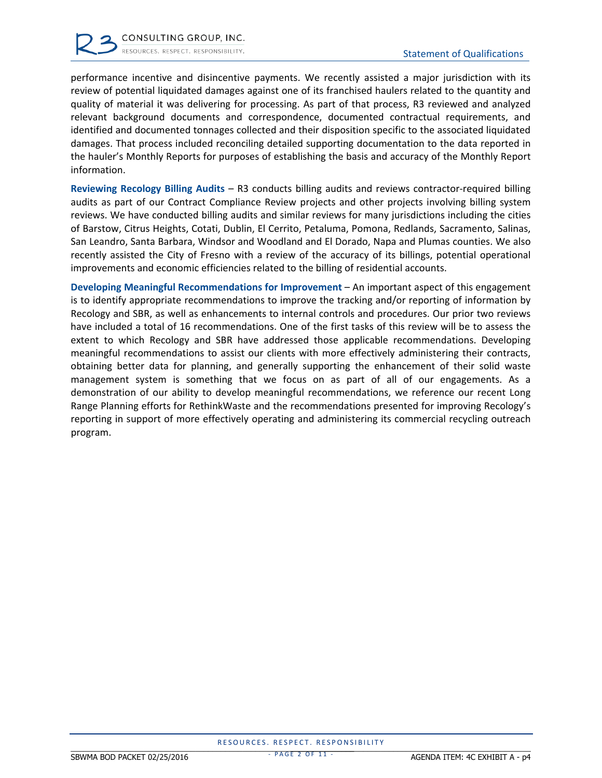performance incentive and disincentive payments. We recently assisted a major jurisdiction with its review of potential liquidated damages against one of its franchised haulers related to the quantity and quality of material it was delivering for processing. As part of that process, R3 reviewed and analyzed relevant background documents and correspondence, documented contractual requirements, and identified and documented tonnages collected and their disposition specific to the associated liquidated damages. That process included reconciling detailed supporting documentation to the data reported in the hauler's Monthly Reports for purposes of establishing the basis and accuracy of the Monthly Report information.

**Reviewing Recology Billing Audits** – R3 conducts billing audits and reviews contractor‐required billing audits as part of our Contract Compliance Review projects and other projects involving billing system reviews. We have conducted billing audits and similar reviews for many jurisdictions including the cities of Barstow, Citrus Heights, Cotati, Dublin, El Cerrito, Petaluma, Pomona, Redlands, Sacramento, Salinas, San Leandro, Santa Barbara, Windsor and Woodland and El Dorado, Napa and Plumas counties. We also recently assisted the City of Fresno with a review of the accuracy of its billings, potential operational improvements and economic efficiencies related to the billing of residential accounts.

**Developing Meaningful Recommendations for Improvement** – An important aspect of this engagement is to identify appropriate recommendations to improve the tracking and/or reporting of information by Recology and SBR, as well as enhancements to internal controls and procedures. Our prior two reviews have included a total of 16 recommendations. One of the first tasks of this review will be to assess the extent to which Recology and SBR have addressed those applicable recommendations. Developing meaningful recommendations to assist our clients with more effectively administering their contracts, obtaining better data for planning, and generally supporting the enhancement of their solid waste management system is something that we focus on as part of all of our engagements. As a demonstration of our ability to develop meaningful recommendations, we reference our recent Long Range Planning efforts for RethinkWaste and the recommendations presented for improving Recology's reporting in support of more effectively operating and administering its commercial recycling outreach program.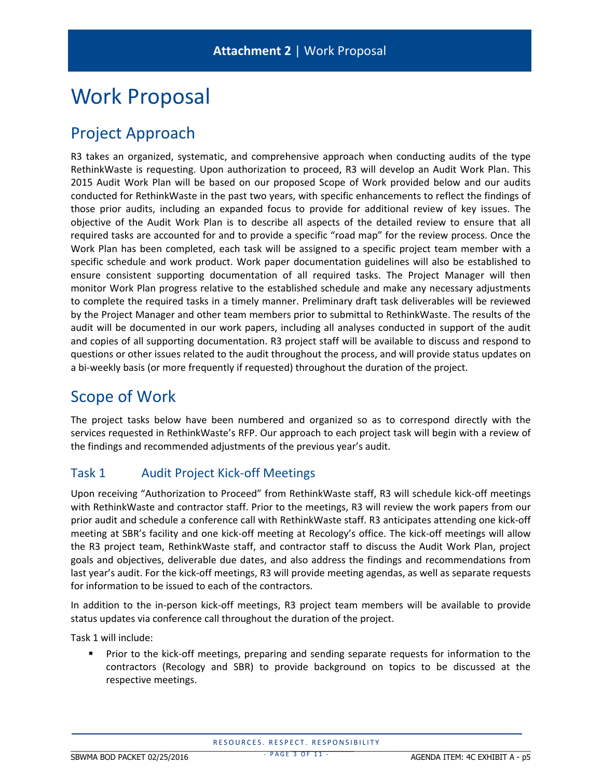# Work Proposal

# Project Approach

R3 takes an organized, systematic, and comprehensive approach when conducting audits of the type RethinkWaste is requesting. Upon authorization to proceed, R3 will develop an Audit Work Plan. This 2015 Audit Work Plan will be based on our proposed Scope of Work provided below and our audits conducted for RethinkWaste in the past two years, with specific enhancements to reflect the findings of those prior audits, including an expanded focus to provide for additional review of key issues. The objective of the Audit Work Plan is to describe all aspects of the detailed review to ensure that all required tasks are accounted for and to provide a specific "road map" for the review process. Once the Work Plan has been completed, each task will be assigned to a specific project team member with a specific schedule and work product. Work paper documentation guidelines will also be established to ensure consistent supporting documentation of all required tasks. The Project Manager will then monitor Work Plan progress relative to the established schedule and make any necessary adjustments to complete the required tasks in a timely manner. Preliminary draft task deliverables will be reviewed by the Project Manager and other team members prior to submittal to RethinkWaste. The results of the audit will be documented in our work papers, including all analyses conducted in support of the audit and copies of all supporting documentation. R3 project staff will be available to discuss and respond to questions or other issues related to the audit throughout the process, and will provide status updates on a bi-weekly basis (or more frequently if requested) throughout the duration of the project.

## Scope of Work

The project tasks below have been numbered and organized so as to correspond directly with the services requested in RethinkWaste's RFP. Our approach to each project task will begin with a review of the findings and recommended adjustments of the previous year's audit.

#### Task 1 Audit Project Kick-off Meetings

Upon receiving "Authorization to Proceed" from RethinkWaste staff, R3 will schedule kick‐off meetings with RethinkWaste and contractor staff. Prior to the meetings, R3 will review the work papers from our prior audit and schedule a conference call with RethinkWaste staff. R3 anticipates attending one kick‐off meeting at SBR's facility and one kick‐off meeting at Recology's office. The kick‐off meetings will allow the R3 project team, RethinkWaste staff, and contractor staff to discuss the Audit Work Plan, project goals and objectives, deliverable due dates, and also address the findings and recommendations from last year's audit. For the kick‐off meetings, R3 will provide meeting agendas, as well as separate requests for information to be issued to each of the contractors.

In addition to the in-person kick-off meetings, R3 project team members will be available to provide status updates via conference call throughout the duration of the project.

Task 1 will include:

 Prior to the kick‐off meetings, preparing and sending separate requests for information to the contractors (Recology and SBR) to provide background on topics to be discussed at the respective meetings.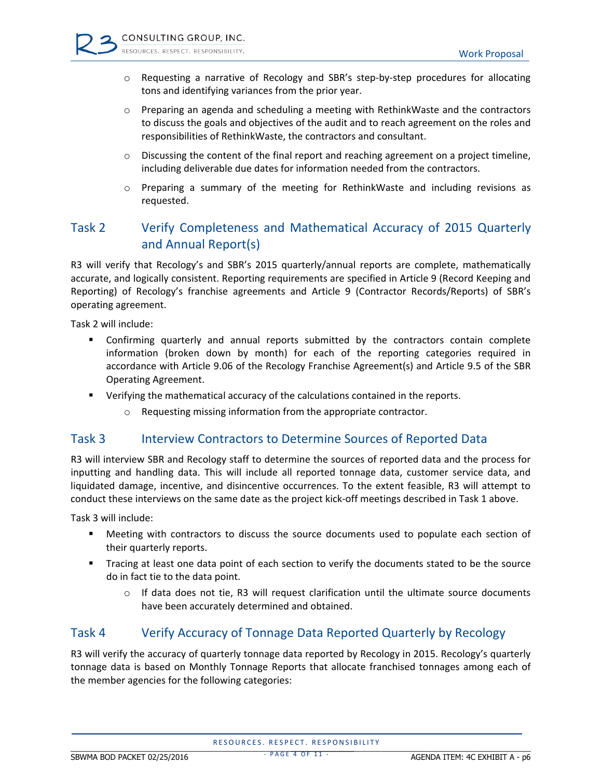- o Requesting a narrative of Recology and SBR's step‐by‐step procedures for allocating tons and identifying variances from the prior year.
- $\circ$  Preparing an agenda and scheduling a meeting with RethinkWaste and the contractors to discuss the goals and objectives of the audit and to reach agreement on the roles and responsibilities of RethinkWaste, the contractors and consultant.
- $\circ$  Discussing the content of the final report and reaching agreement on a project timeline, including deliverable due dates for information needed from the contractors.
- o Preparing a summary of the meeting for RethinkWaste and including revisions as requested.

#### Task 2 Verify Completeness and Mathematical Accuracy of 2015 Quarterly and Annual Report(s)

R3 will verify that Recology's and SBR's 2015 quarterly/annual reports are complete, mathematically accurate, and logically consistent. Reporting requirements are specified in Article 9 (Record Keeping and Reporting) of Recology's franchise agreements and Article 9 (Contractor Records/Reports) of SBR's operating agreement.

Task 2 will include:

- Confirming quarterly and annual reports submitted by the contractors contain complete information (broken down by month) for each of the reporting categories required in accordance with Article 9.06 of the Recology Franchise Agreement(s) and Article 9.5 of the SBR Operating Agreement.
- Verifying the mathematical accuracy of the calculations contained in the reports.
	- o Requesting missing information from the appropriate contractor.

#### Task 3 Interview Contractors to Determine Sources of Reported Data

R3 will interview SBR and Recology staff to determine the sources of reported data and the process for inputting and handling data. This will include all reported tonnage data, customer service data, and liquidated damage, incentive, and disincentive occurrences. To the extent feasible, R3 will attempt to conduct these interviews on the same date as the project kick‐off meetings described in Task 1 above.

Task 3 will include:

- Meeting with contractors to discuss the source documents used to populate each section of their quarterly reports.
- Tracing at least one data point of each section to verify the documents stated to be the source do in fact tie to the data point.
	- $\circ$  If data does not tie, R3 will request clarification until the ultimate source documents have been accurately determined and obtained.

#### Task 4 Verify Accuracy of Tonnage Data Reported Quarterly by Recology

R3 will verify the accuracy of quarterly tonnage data reported by Recology in 2015. Recology's quarterly tonnage data is based on Monthly Tonnage Reports that allocate franchised tonnages among each of the member agencies for the following categories:

- PAGE 4 OF 11 -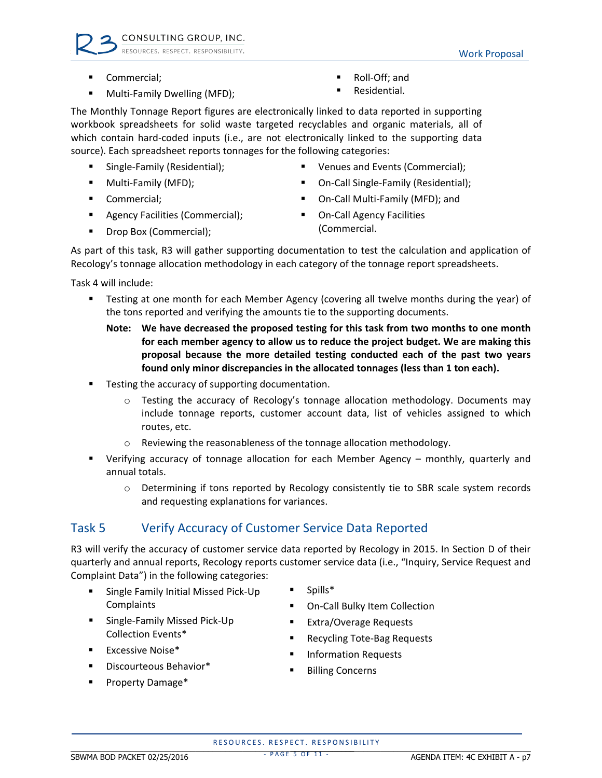- Commercial;
- Multi‐Family Dwelling (MFD);
- Roll‐Off; and
- **Residential.**

The Monthly Tonnage Report figures are electronically linked to data reported in supporting workbook spreadsheets for solid waste targeted recyclables and organic materials, all of which contain hard-coded inputs (i.e., are not electronically linked to the supporting data source). Each spreadsheet reports tonnages for the following categories:

- Single-Family (Residential);
- Multi-Family (MFD);
- Commercial;
- **Agency Facilities (Commercial);**
- **•** Drop Box (Commercial);
- Venues and Events (Commercial);
- On-Call Single-Family (Residential);
- On‐Call Multi‐Family (MFD); and
- On-Call Agency Facilities (Commercial.

As part of this task, R3 will gather supporting documentation to test the calculation and application of Recology's tonnage allocation methodology in each category of the tonnage report spreadsheets.

Task 4 will include:

- Testing at one month for each Member Agency (covering all twelve months during the year) of the tons reported and verifying the amounts tie to the supporting documents.
	- **Note: We have decreased the proposed testing for this task from two months to one month for each member agency to allow us to reduce the project budget. We are making this proposal because the more detailed testing conducted each of the past two years found only minor discrepancies in the allocated tonnages (less than 1 ton each).**
- Testing the accuracy of supporting documentation.
	- $\circ$  Testing the accuracy of Recology's tonnage allocation methodology. Documents may include tonnage reports, customer account data, list of vehicles assigned to which routes, etc.
	- Reviewing the reasonableness of the tonnage allocation methodology.
- Verifying accuracy of tonnage allocation for each Member Agency monthly, quarterly and annual totals.
	- o Determining if tons reported by Recology consistently tie to SBR scale system records and requesting explanations for variances.

#### Task 5 Verify Accuracy of Customer Service Data Reported

R3 will verify the accuracy of customer service data reported by Recology in 2015. In Section D of their quarterly and annual reports, Recology reports customer service data (i.e., "Inquiry, Service Request and Complaint Data") in the following categories:

- Single Family Initial Missed Pick-Up Complaints
- Single-Family Missed Pick-Up Collection Events\*
- Spills\*
- On‐Call Bulky Item Collection
- Extra/Overage Requests
- Recycling Tote‐Bag Requests
- Information Requests
- **Billing Concerns**

Property Damage\*

**•** Discourteous Behavior\*

 $\blacksquare$  Excessive Noise\*

RESOURCES. RESPECT. RESPONSIBILITY THE SECTION CONCEPT MESS CHECK MESS CHIPPE  $\blacksquare$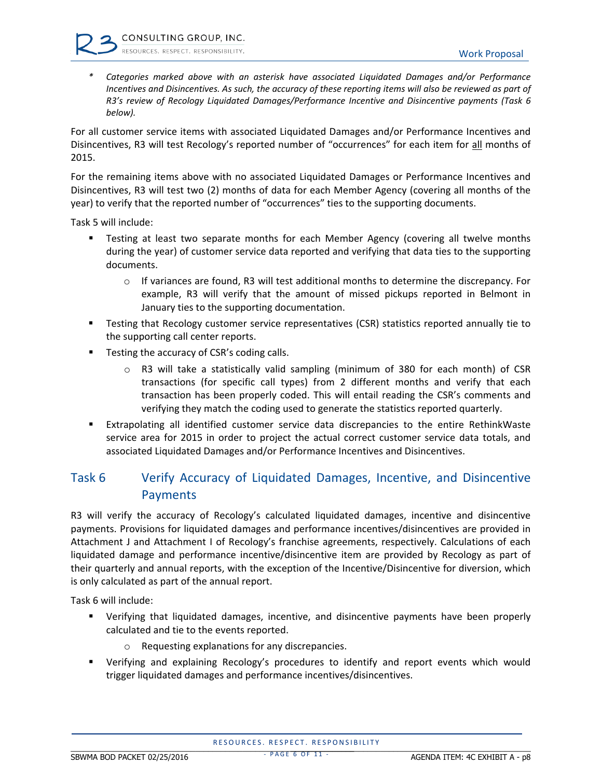*\* Categories marked above with an asterisk have associated Liquidated Damages and/or Performance* Incentives and Disincentives. As such, the accuracy of these reporting items will also be reviewed as part of *R3's review of Recology Liquidated Damages/Performance Incentive and Disincentive payments (Task 6 below).*

For all customer service items with associated Liquidated Damages and/or Performance Incentives and Disincentives, R3 will test Recology's reported number of "occurrences" for each item for all months of 2015.

For the remaining items above with no associated Liquidated Damages or Performance Incentives and Disincentives, R3 will test two (2) months of data for each Member Agency (covering all months of the year) to verify that the reported number of "occurrences" ties to the supporting documents.

Task 5 will include:

- Testing at least two separate months for each Member Agency (covering all twelve months during the year) of customer service data reported and verifying that data ties to the supporting documents.
	- $\circ$  If variances are found, R3 will test additional months to determine the discrepancy. For example, R3 will verify that the amount of missed pickups reported in Belmont in January ties to the supporting documentation.
- **FALT FER TEST IN A TEST SERVIET SET ASSET IS SET ASSET I** FERSTIES THAT A READLY tie to the supporting call center reports.
- **Testing the accuracy of CSR's coding calls.** 
	- $\circ$  R3 will take a statistically valid sampling (minimum of 380 for each month) of CSR transactions (for specific call types) from 2 different months and verify that each transaction has been properly coded. This will entail reading the CSR's comments and verifying they match the coding used to generate the statistics reported quarterly.
- Extrapolating all identified customer service data discrepancies to the entire RethinkWaste service area for 2015 in order to project the actual correct customer service data totals, and associated Liquidated Damages and/or Performance Incentives and Disincentives.

#### Task 6 Verify Accuracy of Liquidated Damages, Incentive, and Disincentive Payments

R3 will verify the accuracy of Recology's calculated liquidated damages, incentive and disincentive payments. Provisions for liquidated damages and performance incentives/disincentives are provided in Attachment J and Attachment I of Recology's franchise agreements, respectively. Calculations of each liquidated damage and performance incentive/disincentive item are provided by Recology as part of their quarterly and annual reports, with the exception of the Incentive/Disincentive for diversion, which is only calculated as part of the annual report.

Task 6 will include:

- Verifying that liquidated damages, incentive, and disincentive payments have been properly calculated and tie to the events reported.
	- o Requesting explanations for any discrepancies.
- Verifying and explaining Recology's procedures to identify and report events which would trigger liquidated damages and performance incentives/disincentives.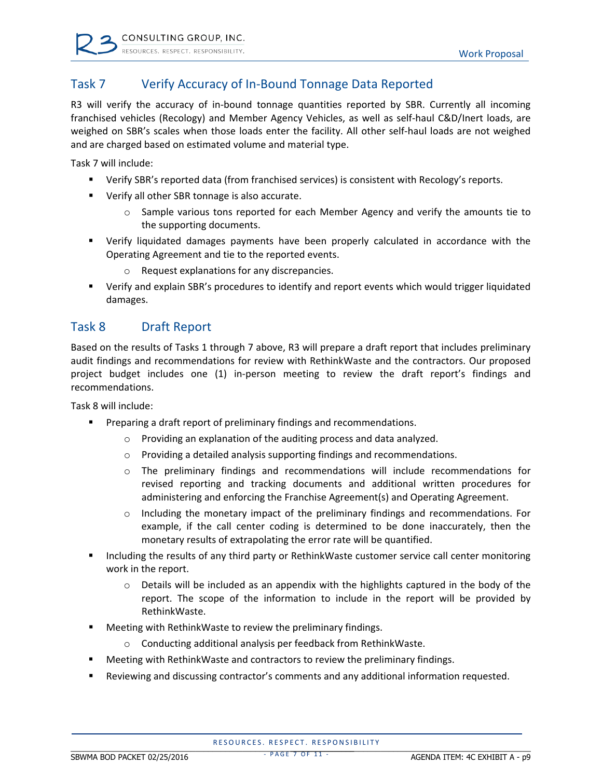

#### Task 7 Verify Accuracy of In‐Bound Tonnage Data Reported

R3 will verify the accuracy of in-bound tonnage quantities reported by SBR. Currently all incoming franchised vehicles (Recology) and Member Agency Vehicles, as well as self-haul C&D/Inert loads, are weighed on SBR's scales when those loads enter the facility. All other self-haul loads are not weighed and are charged based on estimated volume and material type.

Task 7 will include:

- Verify SBR's reported data (from franchised services) is consistent with Recology's reports.
- Verify all other SBR tonnage is also accurate.
	- $\circ$  Sample various tons reported for each Member Agency and verify the amounts tie to the supporting documents.
- Verify liquidated damages payments have been properly calculated in accordance with the Operating Agreement and tie to the reported events.
	- o Request explanations for any discrepancies.
- Verify and explain SBR's procedures to identify and report events which would trigger liquidated damages.

#### Task 8 Draft Report

Based on the results of Tasks 1 through 7 above, R3 will prepare a draft report that includes preliminary audit findings and recommendations for review with RethinkWaste and the contractors. Our proposed project budget includes one (1) in‐person meeting to review the draft report's findings and recommendations.

Task 8 will include:

- **Preparing a draft report of preliminary findings and recommendations.** 
	- o Providing an explanation of the auditing process and data analyzed.
	- o Providing a detailed analysis supporting findings and recommendations.
	- o The preliminary findings and recommendations will include recommendations for revised reporting and tracking documents and additional written procedures for administering and enforcing the Franchise Agreement(s) and Operating Agreement.
	- $\circ$  Including the monetary impact of the preliminary findings and recommendations. For example, if the call center coding is determined to be done inaccurately, then the monetary results of extrapolating the error rate will be quantified.
- Including the results of any third party or RethinkWaste customer service call center monitoring work in the report.
	- $\circ$  Details will be included as an appendix with the highlights captured in the body of the report. The scope of the information to include in the report will be provided by RethinkWaste.
- Meeting with RethinkWaste to review the preliminary findings.
	- o Conducting additional analysis per feedback from RethinkWaste.
- Meeting with RethinkWaste and contractors to review the preliminary findings.
- Reviewing and discussing contractor's comments and any additional information requested.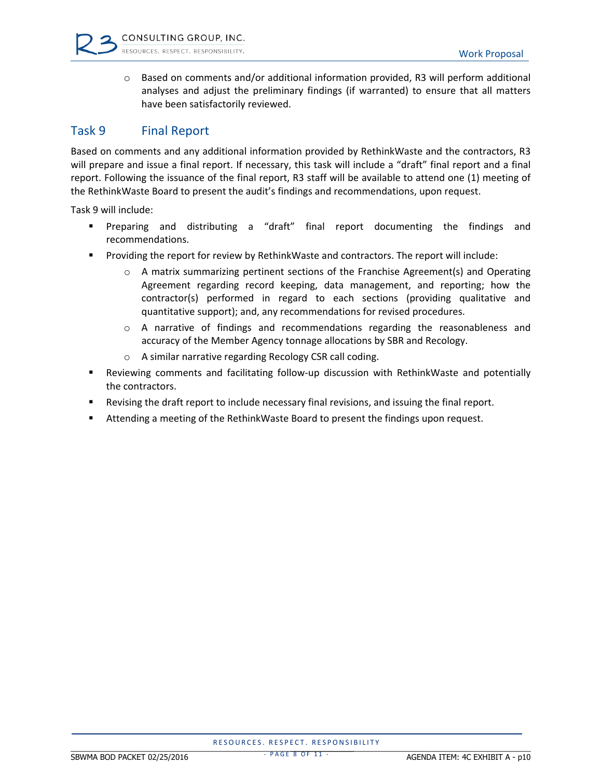

 $\circ$  Based on comments and/or additional information provided, R3 will perform additional analyses and adjust the preliminary findings (if warranted) to ensure that all matters have been satisfactorily reviewed.

#### Task 9 Final Report

Based on comments and any additional information provided by RethinkWaste and the contractors, R3 will prepare and issue a final report. If necessary, this task will include a "draft" final report and a final report. Following the issuance of the final report, R3 staff will be available to attend one (1) meeting of the RethinkWaste Board to present the audit's findings and recommendations, upon request.

Task 9 will include:

- Preparing and distributing a "draft" final report documenting the findings and recommendations.
- **Providing the report for review by RethinkWaste and contractors. The report will include:** 
	- $\circ$  A matrix summarizing pertinent sections of the Franchise Agreement(s) and Operating Agreement regarding record keeping, data management, and reporting; how the contractor(s) performed in regard to each sections (providing qualitative and quantitative support); and, any recommendations for revised procedures.
	- o A narrative of findings and recommendations regarding the reasonableness and accuracy of the Member Agency tonnage allocations by SBR and Recology.
	- o A similar narrative regarding Recology CSR call coding.
- Reviewing comments and facilitating follow-up discussion with RethinkWaste and potentially the contractors.
- Revising the draft report to include necessary final revisions, and issuing the final report.
- Attending a meeting of the RethinkWaste Board to present the findings upon request.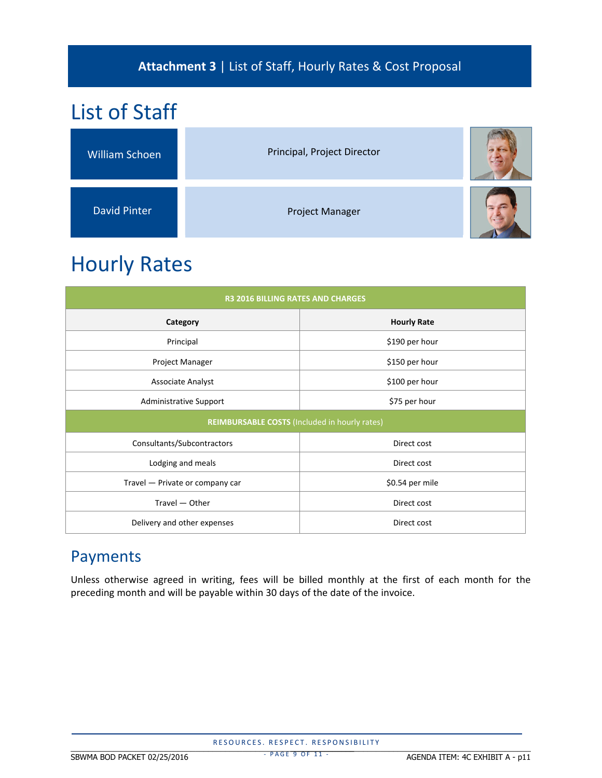### **Attachment 3** | List of Staff, Hourly Rates & Cost Proposal

# List of Staff William Schoen **Communist Principal**, Project Director David Pinter Project Manager

# Hourly Rates

| <b>R3 2016 BILLING RATES AND CHARGES</b>             |                    |  |  |  |  |
|------------------------------------------------------|--------------------|--|--|--|--|
| Category                                             | <b>Hourly Rate</b> |  |  |  |  |
| Principal                                            | \$190 per hour     |  |  |  |  |
| Project Manager                                      | \$150 per hour     |  |  |  |  |
| Associate Analyst                                    | \$100 per hour     |  |  |  |  |
| <b>Administrative Support</b>                        | \$75 per hour      |  |  |  |  |
| <b>REIMBURSABLE COSTS (Included in hourly rates)</b> |                    |  |  |  |  |
| Consultants/Subcontractors                           | Direct cost        |  |  |  |  |
| Lodging and meals                                    | Direct cost        |  |  |  |  |
| Travel - Private or company car                      | \$0.54 per mile    |  |  |  |  |
| Travel - Other                                       | Direct cost        |  |  |  |  |
| Delivery and other expenses                          | Direct cost        |  |  |  |  |

## Payments

Unless otherwise agreed in writing, fees will be billed monthly at the first of each month for the preceding month and will be payable within 30 days of the date of the invoice.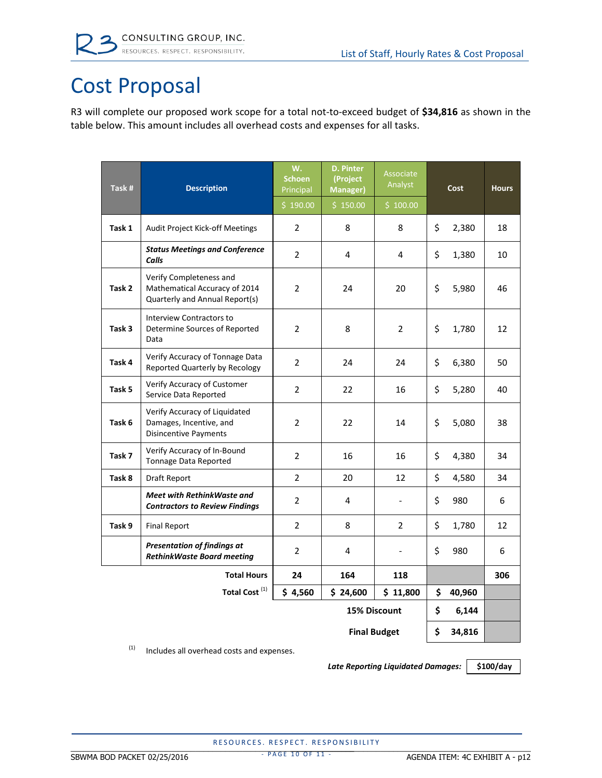

# Cost Proposal

R3 will complete our proposed work scope for a total not‐to‐exceed budget of **\$34,816** as shown in the table below. This amount includes all overhead costs and expenses for all tasks.

| Task#  | <b>Description</b>                                                                         | W.<br><b>Schoen</b><br>Principal<br>\$190.00 | <b>D. Pinter</b><br>(Project<br><b>Manager</b> )<br>\$150.00 | Associate<br>Analyst<br>\$100.00 | Cost |        | <b>Hours</b> |
|--------|--------------------------------------------------------------------------------------------|----------------------------------------------|--------------------------------------------------------------|----------------------------------|------|--------|--------------|
| Task 1 | Audit Project Kick-off Meetings                                                            | 2                                            | 8                                                            | 8                                | \$   | 2,380  | 18           |
|        | <b>Status Meetings and Conference</b><br>Calls                                             | $\overline{2}$                               | 4                                                            | 4                                | \$   | 1,380  | 10           |
| Task 2 | Verify Completeness and<br>Mathematical Accuracy of 2014<br>Quarterly and Annual Report(s) | $\overline{2}$                               | 24                                                           | 20                               | \$   | 5,980  | 46           |
| Task 3 | Interview Contractors to<br>Determine Sources of Reported<br>Data                          | 2                                            | 8                                                            | $\overline{2}$                   | \$   | 1,780  | 12           |
| Task 4 | Verify Accuracy of Tonnage Data<br>Reported Quarterly by Recology                          | $\overline{2}$                               | 24                                                           | 24                               | \$   | 6,380  | 50           |
| Task 5 | Verify Accuracy of Customer<br>Service Data Reported                                       | $\overline{2}$                               | 22                                                           | 16                               | \$   | 5,280  | 40           |
| Task 6 | Verify Accuracy of Liquidated<br>Damages, Incentive, and<br><b>Disincentive Payments</b>   | $\overline{2}$                               | 22                                                           | 14                               | \$   | 5,080  | 38           |
| Task 7 | Verify Accuracy of In-Bound<br>Tonnage Data Reported                                       | $\overline{2}$                               | 16                                                           | 16                               | \$   | 4,380  | 34           |
| Task 8 | Draft Report                                                                               | $\overline{2}$                               | 20                                                           | 12                               | \$   | 4,580  | 34           |
|        | Meet with RethinkWaste and<br><b>Contractors to Review Findings</b>                        | $\overline{2}$                               | 4                                                            |                                  | \$   | 980    | 6            |
| Task 9 | <b>Final Report</b>                                                                        | $\overline{2}$                               | 8                                                            | $\overline{2}$                   | \$   | 1,780  | 12           |
|        | <b>Presentation of findings at</b><br><b>RethinkWaste Board meeting</b>                    | $\overline{2}$                               | 4                                                            |                                  | \$   | 980    | 6            |
|        | <b>Total Hours</b>                                                                         | 24                                           | 164                                                          | 118                              |      |        | 306          |
|        | Total Cost <sup>(1)</sup>                                                                  | \$4,560                                      | \$24,600                                                     | \$11,800                         | \$   | 40,960 |              |
|        | 15% Discount                                                                               |                                              |                                                              |                                  | \$   | 6,144  |              |
|        | <b>Final Budget</b>                                                                        |                                              |                                                              |                                  |      | 34,816 |              |

 $(1)$  Includes all overhead costs and expenses.

*Late Reporting Liquidated Damages:* **\$100/day**